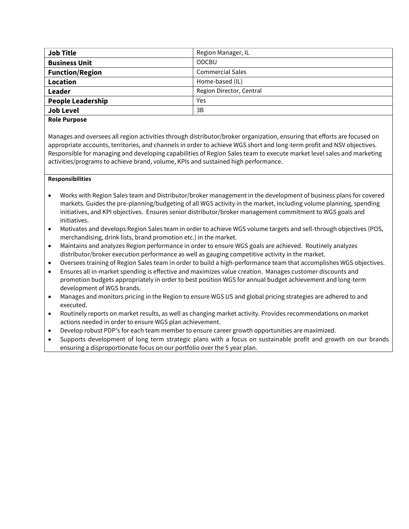| <b>Job Title</b>         | Region Manager, IL       |
|--------------------------|--------------------------|
| <b>Business Unit</b>     | <b>ODCBU</b>             |
| <b>Function/Region</b>   | <b>Commercial Sales</b>  |
| Location                 | Home-based (IL)          |
| Leader                   | Region Director, Central |
| <b>People Leadership</b> | Yes                      |
| <b>Job Level</b>         | 3B                       |
|                          |                          |

# **Role Purpose**

Manages and oversees all region activities through distributor/broker organization, ensuring that efforts are focused on appropriate accounts, territories, and channels in order to achieve WGS short and long-term profit and NSV objectives. Responsible for managing and developing capabilities of Region Sales team to execute market level sales and marketing activities/programs to achieve brand, volume, KPIs and sustained high performance.

### **Responsibilities**

- Works with Region Sales team and Distributor/broker management in the development of business plans for covered markets. Guides the pre-planning/budgeting of all WGS activity in the market, including volume planning, spending initiatives, and KPI objectives. Ensures senior distributor/broker management commitment to WGS goals and initiatives.
- Motivates and develops Region Sales team in order to achieve WGS volume targets and sell-through objectives (POS, merchandising, drink lists, brand promotion etc.) in the market.
- Maintains and analyzes Region performance in order to ensure WGS goals are achieved. Routinely analyzes distributor/broker execution performance as well as gauging competitive activity in the market.
- Oversees training of Region Sales team in order to build a high-performance team that accomplishes WGS objectives.
- Ensures all in-market spending is effective and maximizes value creation. Manages customer discounts and promotion budgets appropriately in order to best position WGS for annual budget achievement and long-term development of WGS brands.
- Manages and monitors pricing in the Region to ensure WGS US and global pricing strategies are adhered to and executed.
- Routinely reports on market results, as well as changing market activity. Provides recommendations on market actions needed in order to ensure WGS plan achievement.
- Develop robust PDP's for each team member to ensure career growth opportunities are maximized.
- Supports development of long term strategic plans with a focus on sustainable profit and growth on our brands ensuring a disproportionate focus on our portfolio over the 5 year plan.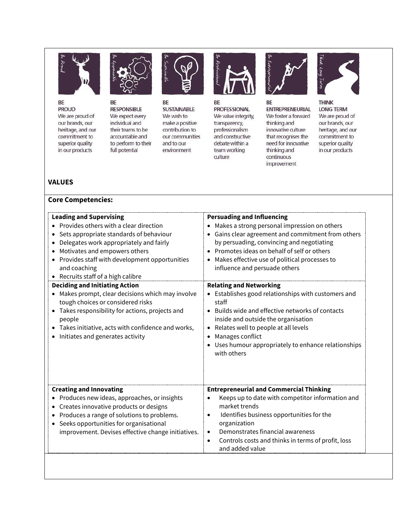

BE **PROUD** We are proud of our brands, our heritage, and our commitment to superior quality in our products



BE **RESPONSIBLE** We expect every individual and their teams to be accountable and to perform to their full potential



BE **SUSTAINABLE** We wish to make a positive contribution to our communities and to our environment



BE **PROFESSIONAL** We value integrity, transparency, professionalism and constructive debate within a team working culture



BE **ENTREPRENEURIAL** We foster a forward thinking and innovative culture that recognises the need for innovative thinking and continuous improvement



**THINK LONG TERM** We are proud of our brands, our heritage, and our commitment to superior quality in our products

## **VALUES**

#### **Core Competencies:**

| <b>Leading and Supervising</b>                                                                                                                                                                                                                                                     | <b>Persuading and Influencing</b>                                                                                                                                                                                                                                                                                                    |
|------------------------------------------------------------------------------------------------------------------------------------------------------------------------------------------------------------------------------------------------------------------------------------|--------------------------------------------------------------------------------------------------------------------------------------------------------------------------------------------------------------------------------------------------------------------------------------------------------------------------------------|
| Provides others with a clear direction                                                                                                                                                                                                                                             | Makes a strong personal impression on others                                                                                                                                                                                                                                                                                         |
| Sets appropriate standards of behaviour                                                                                                                                                                                                                                            | $\bullet$                                                                                                                                                                                                                                                                                                                            |
| ٠                                                                                                                                                                                                                                                                                  | Gains clear agreement and commitment from others                                                                                                                                                                                                                                                                                     |
| Delegates work appropriately and fairly                                                                                                                                                                                                                                            | by persuading, convincing and negotiating                                                                                                                                                                                                                                                                                            |
| Motivates and empowers others                                                                                                                                                                                                                                                      | Promotes ideas on behalf of self or others                                                                                                                                                                                                                                                                                           |
| Provides staff with development opportunities                                                                                                                                                                                                                                      | Makes effective use of political processes to                                                                                                                                                                                                                                                                                        |
| and coaching                                                                                                                                                                                                                                                                       | $\bullet$                                                                                                                                                                                                                                                                                                                            |
| Recruits staff of a high calibre                                                                                                                                                                                                                                                   | influence and persuade others                                                                                                                                                                                                                                                                                                        |
| <b>Deciding and Initiating Action</b><br>Makes prompt, clear decisions which may involve<br>tough choices or considered risks<br>Takes responsibility for actions, projects and<br>people<br>Takes initiative, acts with confidence and works,<br>Initiates and generates activity | <b>Relating and Networking</b><br>Establishes good relationships with customers and<br>staff<br>Builds wide and effective networks of contacts<br>inside and outside the organisation<br>Relates well to people at all levels<br>Manages conflict<br>Uses humour appropriately to enhance relationships<br>with others               |
| <b>Creating and Innovating</b><br>Produces new ideas, approaches, or insights<br>Creates innovative products or designs<br>Produces a range of solutions to problems.<br>Seeks opportunities for organisational<br>improvement. Devises effective change initiatives.              | <b>Entrepreneurial and Commercial Thinking</b><br>Keeps up to date with competitor information and<br>market trends<br>Identifies business opportunities for the<br>$\bullet$<br>organization<br>Demonstrates financial awareness<br>$\bullet$<br>Controls costs and thinks in terms of profit, loss<br>$\bullet$<br>and added value |